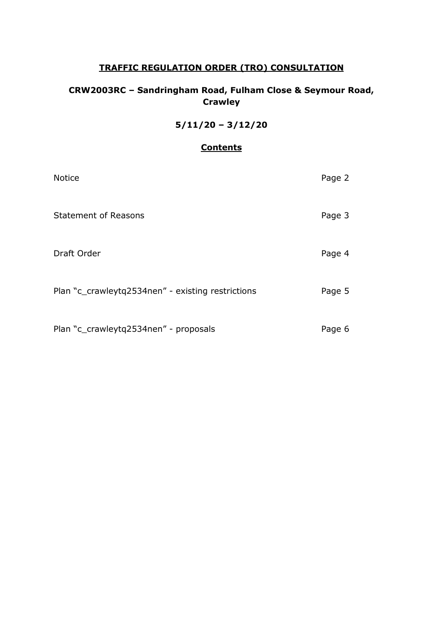# **TRAFFIC REGULATION ORDER (TRO) CONSULTATION**

# **CRW2003RC – Sandringham Road, Fulham Close & Seymour Road, Crawley**

# **5/11/20 – 3/12/20**

# **Contents**

| <b>Notice</b>                                     | Page 2 |
|---------------------------------------------------|--------|
| <b>Statement of Reasons</b>                       | Page 3 |
| Draft Order                                       | Page 4 |
| Plan "c_crawleytq2534nen" - existing restrictions | Page 5 |
| Plan "c_crawleytq2534nen" - proposals             | Page 6 |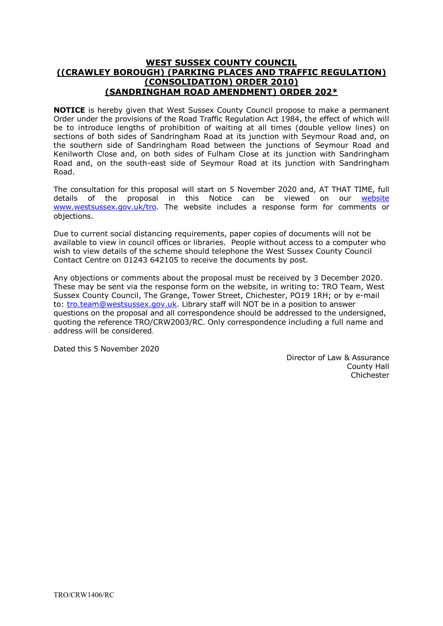### **WEST SUSSEX COUNTY COUNCIL ((CRAWLEY BOROUGH) (PARKING PLACES AND TRAFFIC REGULATION) (CONSOLIDATION) ORDER 2010) (SANDRINGHAM ROAD AMENDMENT) ORDER 202\***

**NOTICE** is hereby given that West Sussex County Council propose to make a permanent Order under the provisions of the Road Traffic Regulation Act 1984, the effect of which will be to introduce lengths of prohibition of waiting at all times (double yellow lines) on sections of both sides of Sandringham Road at its junction with Seymour Road and, on the southern side of Sandringham Road between the junctions of Seymour Road and Kenilworth Close and, on both sides of Fulham Close at its junction with Sandringham Road and, on the south-east side of Seymour Road at its junction with Sandringham Road.

The consultation for this proposal will start on 5 November 2020 and, AT THAT TIME, full details of the proposal in this Notice can be viewed on our [website](https://www.westsussex.gov.uk/roads-and-travel/traffic-regulation-orders/) [www.westsussex.gov.uk/tro.](http://www.westsussex.gov.uk/tro) The website includes a response form for comments or objections.

Due to current social distancing requirements, paper copies of documents will not be available to view in council offices or libraries. People without access to a computer who wish to view details of the scheme should telephone the West Sussex County Council Contact Centre on 01243 642105 to receive the documents by post.

Any objections or comments about the proposal must be received by 3 December 2020. These may be sent via the response form on the website, in writing to: TRO Team, West Sussex County Council, The Grange, Tower Street, Chichester, PO19 1RH; or by e-mail to: [tro.team@westsussex.gov.uk.](mailto:tro.team@westsussex.gov.uk) Library staff will NOT be in a position to answer questions on the proposal and all correspondence should be addressed to the undersigned, quoting the reference TRO/CRW2003/RC. Only correspondence including a full name and address will be considered.

Dated this 5 November 2020

 Director of Law & Assurance County Hall Chichester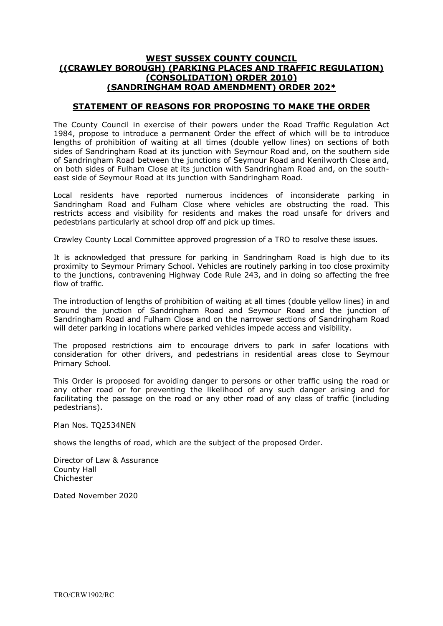#### **WEST SUSSEX COUNTY COUNCIL ((CRAWLEY BOROUGH) (PARKING PLACES AND TRAFFIC REGULATION) (CONSOLIDATION) ORDER 2010) (SANDRINGHAM ROAD AMENDMENT) ORDER 202\***

## **STATEMENT OF REASONS FOR PROPOSING TO MAKE THE ORDER**

The County Council in exercise of their powers under the Road Traffic Regulation Act 1984, propose to introduce a permanent Order the effect of which will be to introduce lengths of prohibition of waiting at all times (double yellow lines) on sections of both sides of Sandringham Road at its junction with Seymour Road and, on the southern side of Sandringham Road between the junctions of Seymour Road and Kenilworth Close and, on both sides of Fulham Close at its junction with Sandringham Road and, on the southeast side of Seymour Road at its junction with Sandringham Road.

Local residents have reported numerous incidences of inconsiderate parking in Sandringham Road and Fulham Close where vehicles are obstructing the road. This restricts access and visibility for residents and makes the road unsafe for drivers and pedestrians particularly at school drop off and pick up times.

Crawley County Local Committee approved progression of a TRO to resolve these issues.

It is acknowledged that pressure for parking in Sandringham Road is high due to its proximity to Seymour Primary School. Vehicles are routinely parking in too close proximity to the junctions, contravening Highway Code Rule 243, and in doing so affecting the free flow of traffic.

The introduction of lengths of prohibition of waiting at all times (double yellow lines) in and around the junction of Sandringham Road and Seymour Road and the junction of Sandringham Road and Fulham Close and on the narrower sections of Sandringham Road will deter parking in locations where parked vehicles impede access and visibility.

The proposed restrictions aim to encourage drivers to park in safer locations with consideration for other drivers, and pedestrians in residential areas close to Seymour Primary School.

This Order is proposed for avoiding danger to persons or other traffic using the road or any other road or for preventing the likelihood of any such danger arising and for facilitating the passage on the road or any other road of any class of traffic (including pedestrians).

Plan Nos. TQ2534NEN

shows the lengths of road, which are the subject of the proposed Order.

Director of Law & Assurance County Hall Chichester

Dated November 2020